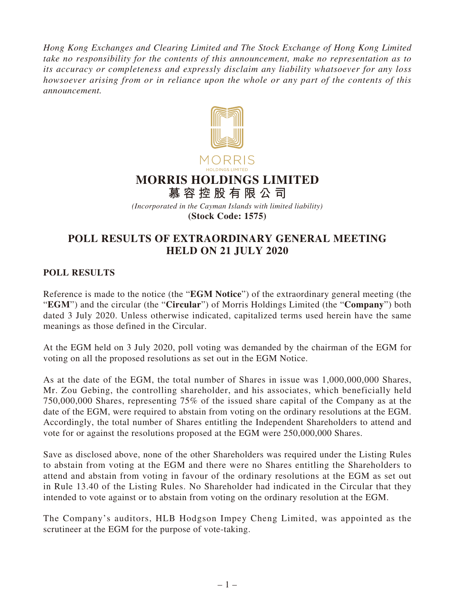*Hong Kong Exchanges and Clearing Limited and The Stock Exchange of Hong Kong Limited take no responsibility for the contents of this announcement, make no representation as to its accuracy or completeness and expressly disclaim any liability whatsoever for any loss howsoever arising from or in reliance upon the whole or any part of the contents of this announcement.*



*(Incorporated in the Cayman Islands with limited liability)* **(Stock Code: 1575)**

## **POLL RESULTS OF EXTRAORDINARY GENERAL MEETING HELD ON 21 JULY 2020**

## **POLL RESULTS**

Reference is made to the notice (the "**EGM Notice**") of the extraordinary general meeting (the "**EGM**") and the circular (the "**Circular**") of Morris Holdings Limited (the "**Company**") both dated 3 July 2020. Unless otherwise indicated, capitalized terms used herein have the same meanings as those defined in the Circular.

At the EGM held on 3 July 2020, poll voting was demanded by the chairman of the EGM for voting on all the proposed resolutions as set out in the EGM Notice.

As at the date of the EGM, the total number of Shares in issue was 1,000,000,000 Shares, Mr. Zou Gebing, the controlling shareholder, and his associates, which beneficially held 750,000,000 Shares, representing 75% of the issued share capital of the Company as at the date of the EGM, were required to abstain from voting on the ordinary resolutions at the EGM. Accordingly, the total number of Shares entitling the Independent Shareholders to attend and vote for or against the resolutions proposed at the EGM were 250,000,000 Shares.

Save as disclosed above, none of the other Shareholders was required under the Listing Rules to abstain from voting at the EGM and there were no Shares entitling the Shareholders to attend and abstain from voting in favour of the ordinary resolutions at the EGM as set out in Rule 13.40 of the Listing Rules. No Shareholder had indicated in the Circular that they intended to vote against or to abstain from voting on the ordinary resolution at the EGM.

The Company's auditors, HLB Hodgson Impey Cheng Limited, was appointed as the scrutineer at the EGM for the purpose of vote-taking.